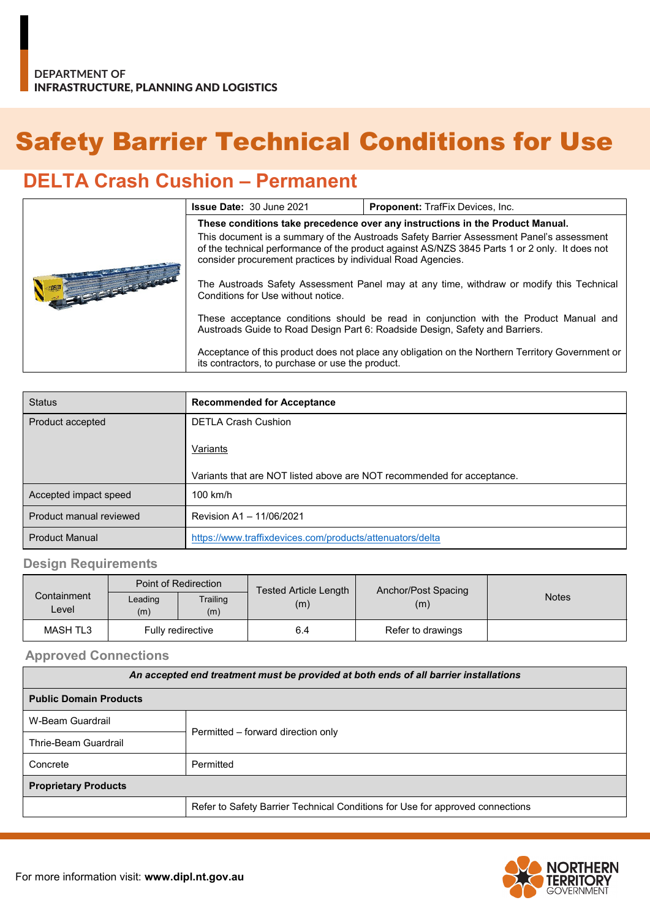# Safety Barrier Technical Conditions for Use

## **DELTA Crash Cushion – Permanent**

|  | <b>Proponent: TrafFix Devices, Inc.</b><br><b>Issue Date: 30 June 2021</b>                                                                                                                                                                                |  |  |
|--|-----------------------------------------------------------------------------------------------------------------------------------------------------------------------------------------------------------------------------------------------------------|--|--|
|  | These conditions take precedence over any instructions in the Product Manual.                                                                                                                                                                             |  |  |
|  | This document is a summary of the Austroads Safety Barrier Assessment Panel's assessment<br>of the technical performance of the product against AS/NZS 3845 Parts 1 or 2 only. It does not<br>consider procurement practices by individual Road Agencies. |  |  |
|  | The Austroads Safety Assessment Panel may at any time, withdraw or modify this Technical<br>Conditions for Use without notice.                                                                                                                            |  |  |
|  | These acceptance conditions should be read in conjunction with the Product Manual and<br>Austroads Guide to Road Design Part 6: Roadside Design, Safety and Barriers.                                                                                     |  |  |
|  | Acceptance of this product does not place any obligation on the Northern Territory Government or<br>its contractors, to purchase or use the product.                                                                                                      |  |  |

| <b>Status</b>           | <b>Recommended for Acceptance</b>                                      |  |
|-------------------------|------------------------------------------------------------------------|--|
| Product accepted        | <b>DETLA Crash Cushion</b>                                             |  |
|                         | Variants                                                               |  |
|                         | Variants that are NOT listed above are NOT recommended for acceptance. |  |
| Accepted impact speed   | $100$ km/h                                                             |  |
| Product manual reviewed | Revision A1 - 11/06/2021                                               |  |
| <b>Product Manual</b>   | https://www.traffixdevices.com/products/attenuators/delta              |  |

### **Design Requirements**

| Containment<br>Level | Point of Redirection |                 | Tested Article Length | Anchor/Post Spacing |              |
|----------------------|----------------------|-----------------|-----------------------|---------------------|--------------|
|                      | Leading<br>(m)       | Trailing<br>(m) | (m)                   | (m)                 | <b>Notes</b> |
| <b>MASH TL3</b>      | Fully redirective    |                 | 6.4                   | Refer to drawings   |              |

#### **Approved Connections**

| An accepted end treatment must be provided at both ends of all barrier installations |                                    |  |  |  |
|--------------------------------------------------------------------------------------|------------------------------------|--|--|--|
| <b>Public Domain Products</b>                                                        |                                    |  |  |  |
| W-Beam Guardrail                                                                     |                                    |  |  |  |
| Thrie-Beam Guardrail                                                                 | Permitted – forward direction only |  |  |  |
| Concrete                                                                             | Permitted                          |  |  |  |
| <b>Proprietary Products</b>                                                          |                                    |  |  |  |
| Refer to Safety Barrier Technical Conditions for Use for approved connections        |                                    |  |  |  |